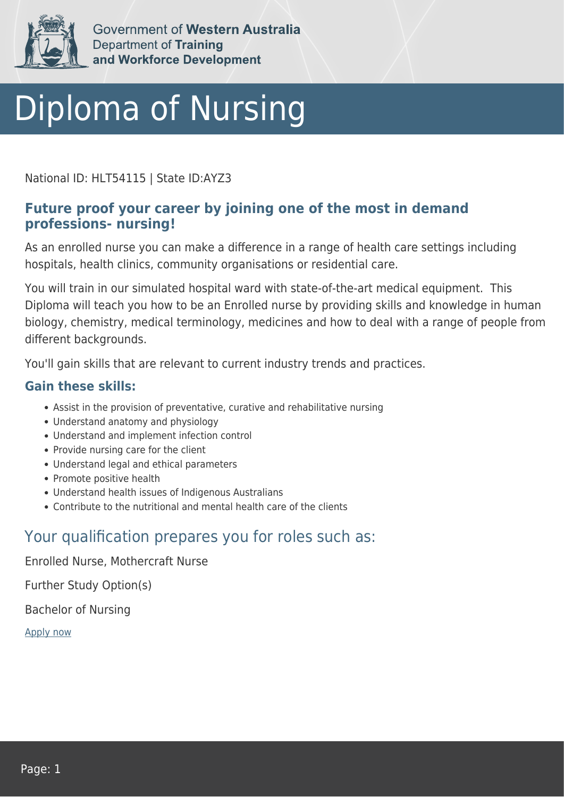

Government of Western Australia Department of Training and Workforce Development

# Diploma of Nursing

National ID: HLT54115 | State ID:AYZ3

### **Future proof your career by joining one of the most in demand professions- nursing!**

As an enrolled nurse you can make a difference in a range of health care settings including hospitals, health clinics, community organisations or residential care.

You will train in our simulated hospital ward with state-of-the-art medical equipment. This Diploma will teach you how to be an Enrolled nurse by providing skills and knowledge in human biology, chemistry, medical terminology, medicines and how to deal with a range of people from different backgrounds.

You'll gain skills that are relevant to current industry trends and practices.

### **Gain these skills:**

- Assist in the provision of preventative, curative and rehabilitative nursing
- Understand anatomy and physiology
- Understand and implement infection control
- Provide nursing care for the client
- Understand legal and ethical parameters
- Promote positive health
- Understand health issues of Indigenous Australians
- Contribute to the nutritional and mental health care of the clients

## Your qualification prepares you for roles such as:

Enrolled Nurse, Mothercraft Nurse

Further Study Option(s)

Bachelor of Nursing

[Apply now](https://tasonline.tafe.wa.edu.au/Default.aspx)